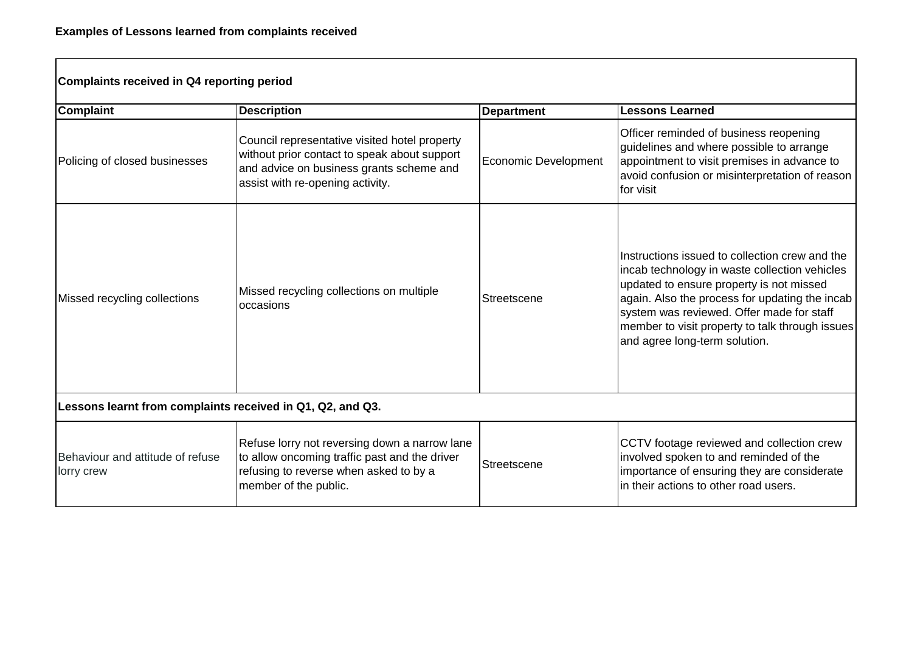| Complaints received in Q4 reporting period                 |                                                                                                                                                                               |                             |                                                                                                                                                                                                                                                                                                                                |  |  |
|------------------------------------------------------------|-------------------------------------------------------------------------------------------------------------------------------------------------------------------------------|-----------------------------|--------------------------------------------------------------------------------------------------------------------------------------------------------------------------------------------------------------------------------------------------------------------------------------------------------------------------------|--|--|
| <b>Complaint</b>                                           | <b>Description</b>                                                                                                                                                            | <b>Department</b>           | <b>Lessons Learned</b>                                                                                                                                                                                                                                                                                                         |  |  |
| Policing of closed businesses                              | Council representative visited hotel property<br>without prior contact to speak about support<br>and advice on business grants scheme and<br>assist with re-opening activity. | <b>Economic Development</b> | Officer reminded of business reopening<br>guidelines and where possible to arrange<br>appointment to visit premises in advance to<br>avoid confusion or misinterpretation of reason<br>for visit                                                                                                                               |  |  |
| Missed recycling collections                               | Missed recycling collections on multiple<br>occasions                                                                                                                         | Streetscene                 | Instructions issued to collection crew and the<br>incab technology in waste collection vehicles<br>updated to ensure property is not missed<br>again. Also the process for updating the incab<br>system was reviewed. Offer made for staff<br>member to visit property to talk through issues<br>and agree long-term solution. |  |  |
| Lessons learnt from complaints received in Q1, Q2, and Q3. |                                                                                                                                                                               |                             |                                                                                                                                                                                                                                                                                                                                |  |  |
| Behaviour and attitude of refuse<br>lorry crew             | Refuse lorry not reversing down a narrow lane<br>to allow oncoming traffic past and the driver<br>refusing to reverse when asked to by a<br>member of the public.             | Streetscene                 | CCTV footage reviewed and collection crew<br>involved spoken to and reminded of the<br>importance of ensuring they are considerate<br>in their actions to other road users.                                                                                                                                                    |  |  |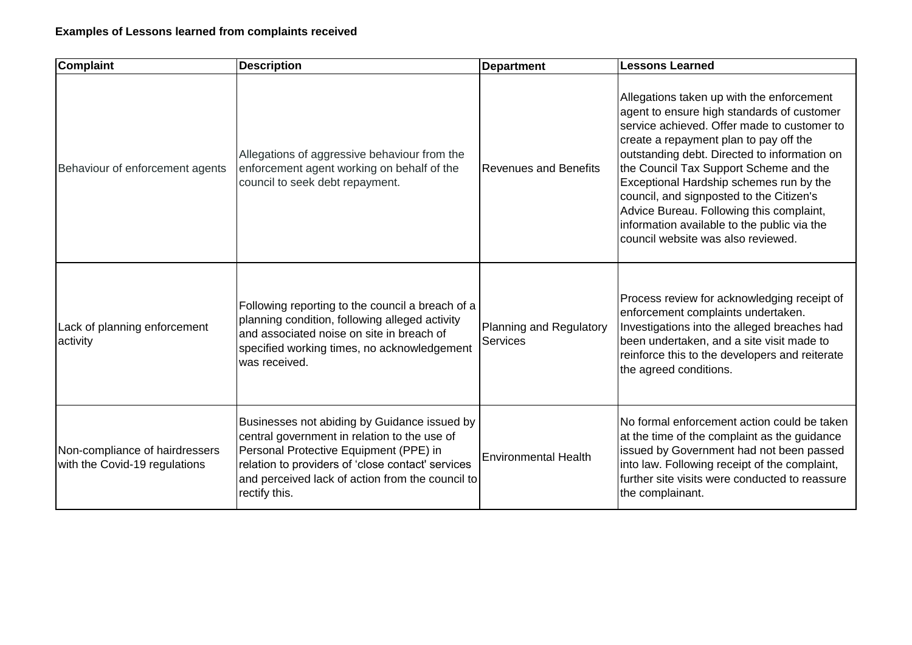| <b>Complaint</b>                                                | <b>Description</b>                                                                                                                                                                                                                                               | <b>Department</b>                          | <b>Lessons Learned</b>                                                                                                                                                                                                                                                                                                                                                                                                                                                                             |
|-----------------------------------------------------------------|------------------------------------------------------------------------------------------------------------------------------------------------------------------------------------------------------------------------------------------------------------------|--------------------------------------------|----------------------------------------------------------------------------------------------------------------------------------------------------------------------------------------------------------------------------------------------------------------------------------------------------------------------------------------------------------------------------------------------------------------------------------------------------------------------------------------------------|
| Behaviour of enforcement agents                                 | Allegations of aggressive behaviour from the<br>enforcement agent working on behalf of the<br>council to seek debt repayment.                                                                                                                                    | <b>Revenues and Benefits</b>               | Allegations taken up with the enforcement<br>agent to ensure high standards of customer<br>service achieved. Offer made to customer to<br>create a repayment plan to pay off the<br>outstanding debt. Directed to information on<br>the Council Tax Support Scheme and the<br>Exceptional Hardship schemes run by the<br>council, and signposted to the Citizen's<br>Advice Bureau. Following this complaint,<br>information available to the public via the<br>council website was also reviewed. |
| Lack of planning enforcement<br>activity                        | Following reporting to the council a breach of a<br>planning condition, following alleged activity<br>and associated noise on site in breach of<br>specified working times, no acknowledgement<br>was received.                                                  | Planning and Regulatory<br><b>Services</b> | Process review for acknowledging receipt of<br>enforcement complaints undertaken.<br>Investigations into the alleged breaches had<br>been undertaken, and a site visit made to<br>reinforce this to the developers and reiterate<br>the agreed conditions.                                                                                                                                                                                                                                         |
| Non-compliance of hairdressers<br>with the Covid-19 regulations | Businesses not abiding by Guidance issued by<br>central government in relation to the use of<br>Personal Protective Equipment (PPE) in<br>relation to providers of 'close contact' services<br>and perceived lack of action from the council to<br>rectify this. | <b>Environmental Health</b>                | No formal enforcement action could be taken<br>at the time of the complaint as the guidance<br>issued by Government had not been passed<br>into law. Following receipt of the complaint,<br>further site visits were conducted to reassure<br>the complainant.                                                                                                                                                                                                                                     |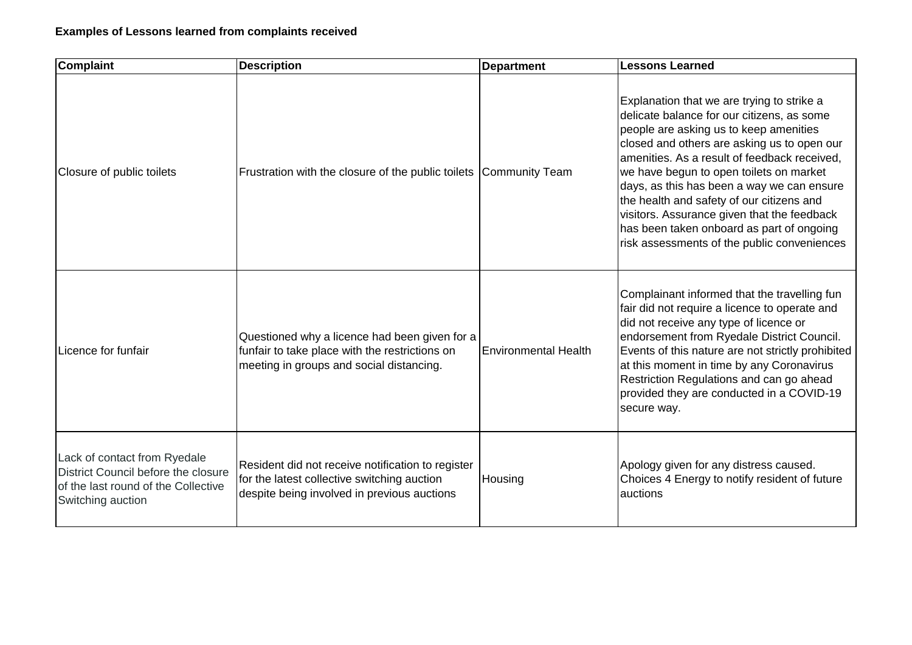| <b>Complaint</b>                                                                                                                | <b>Description</b>                                                                                                                              | <b>Department</b>           | <b>Lessons Learned</b>                                                                                                                                                                                                                                                                                                                                                                                                                                                                                             |
|---------------------------------------------------------------------------------------------------------------------------------|-------------------------------------------------------------------------------------------------------------------------------------------------|-----------------------------|--------------------------------------------------------------------------------------------------------------------------------------------------------------------------------------------------------------------------------------------------------------------------------------------------------------------------------------------------------------------------------------------------------------------------------------------------------------------------------------------------------------------|
| Closure of public toilets                                                                                                       | Frustration with the closure of the public toilets Community Team                                                                               |                             | Explanation that we are trying to strike a<br>delicate balance for our citizens, as some<br>people are asking us to keep amenities<br>closed and others are asking us to open our<br>amenities. As a result of feedback received,<br>we have begun to open toilets on market<br>days, as this has been a way we can ensure<br>the health and safety of our citizens and<br>visitors. Assurance given that the feedback<br>has been taken onboard as part of ongoing<br>risk assessments of the public conveniences |
| Licence for funfair                                                                                                             | Questioned why a licence had been given for a<br>funfair to take place with the restrictions on<br>meeting in groups and social distancing.     | <b>Environmental Health</b> | Complainant informed that the travelling fun<br>fair did not require a licence to operate and<br>did not receive any type of licence or<br>endorsement from Ryedale District Council.<br>Events of this nature are not strictly prohibited<br>at this moment in time by any Coronavirus<br>Restriction Regulations and can go ahead<br>provided they are conducted in a COVID-19<br>secure way.                                                                                                                    |
| Lack of contact from Ryedale<br>District Council before the closure<br>of the last round of the Collective<br>Switching auction | Resident did not receive notification to register<br>for the latest collective switching auction<br>despite being involved in previous auctions | Housing                     | Apology given for any distress caused.<br>Choices 4 Energy to notify resident of future<br>auctions                                                                                                                                                                                                                                                                                                                                                                                                                |